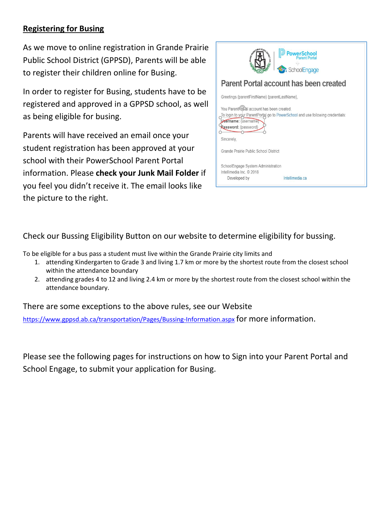### **Registering for Busing**

As we move to online registration in Grande Prairie Public School District (GPPSD), Parents will be able to register their children online for Busing.

In order to register for Busing, students have to be registered and approved in a GPPSD school, as well as being eligible for busing.

Parents will have received an email once your student registration has been approved at your school with their PowerSchool Parent Portal information. Please **check your Junk Mail Folder** if you feel you didn't receive it. The email looks like the picture to the right.



Check our Bussing Eligibility Button on our website to determine eligibility for bussing.

To be eligible for a bus pass a student must live within the Grande Prairie city limits and

- 1. attending Kindergarten to Grade 3 and living 1.7 km or more by the shortest route from the closest school within the attendance boundary
- 2. attending grades 4 to 12 and living 2.4 km or more by the shortest route from the closest school within the attendance boundary.

There are some exceptions to the above rules, see our Website

<https://www.gppsd.ab.ca/transportation/Pages/Bussing-Information.aspx> for more information.

Please see the following pages for instructions on how to Sign into your Parent Portal and School Engage, to submit your application for Busing.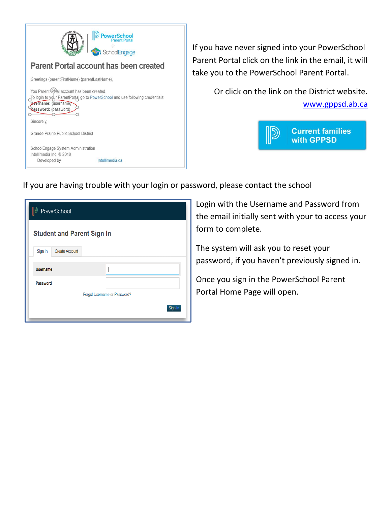

If you have never signed into your PowerSchool Parent Portal click on the link in the email, it will take you to the PowerSchool Parent Portal.

> Or click on the link on the District website. [www.gppsd.ab.ca](http://www.gppsd.ab.ca/)



|  |  |  |  | If you are having trouble with your login or password, please contact the school |
|--|--|--|--|----------------------------------------------------------------------------------|
|--|--|--|--|----------------------------------------------------------------------------------|

| PowerSchool                       |                              |  |  |  |  |  |  |  |  |  |
|-----------------------------------|------------------------------|--|--|--|--|--|--|--|--|--|
| <b>Student and Parent Sign In</b> |                              |  |  |  |  |  |  |  |  |  |
| <b>Create Account</b><br>Sign In  |                              |  |  |  |  |  |  |  |  |  |
| <b>Username</b>                   |                              |  |  |  |  |  |  |  |  |  |
| Password                          |                              |  |  |  |  |  |  |  |  |  |
|                                   | Forgot Username or Password? |  |  |  |  |  |  |  |  |  |
|                                   | Sign In                      |  |  |  |  |  |  |  |  |  |
|                                   |                              |  |  |  |  |  |  |  |  |  |

Login with the Username and Password from the email initially sent with your to access your form to complete.

The system will ask you to reset your password, if you haven't previously signed in.

Once you sign in the PowerSchool Parent Portal Home Page will open.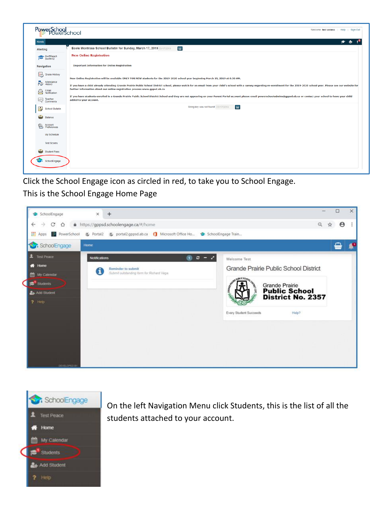

Click the School Engage icon as circled in red, to take you to School Engage. This is the School Engage Home Page





On the left Navigation Menu click Students, this is the list of all the students attached to your account.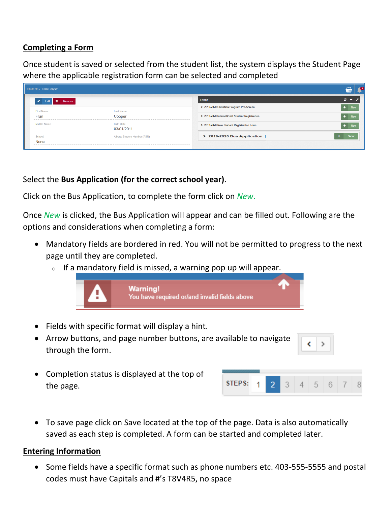#### **Completing a Form**

Once student is saved or selected from the student list, the system displays the Student Page where the applicable registration form can be selected and completed

| Students / Fran Cooper               |                               |                                                | $\triangle$<br><del>⋒</del> |
|--------------------------------------|-------------------------------|------------------------------------------------|-----------------------------|
| $\mathcal{L}$<br>Remove<br>û<br>Edit |                               | Forms                                          | $\sigma -$                  |
| First Name:                          | Last Name:                    | > 2019-2020 Christian Program Pre-Screen       | <b>New</b>                  |
| Fran                                 | Cooper                        | > 2019-2020 International Student Registration | <b>New</b>                  |
| Middle Name:                         | Birth Date:<br>03/01/2011     | > 2019-2020 New Student Registration Form      |                             |
| School:                              | Alberta Student Number (ASN): | > 2019-2020 Bus Application                    | <b>New</b>                  |
| None                                 |                               |                                                |                             |

### Select the **Bus Application (for the correct school year)**.

Click on the Bus Application, to complete the form click on *New*.

Once *New* is clicked, the Bus Application will appear and can be filled out. Following are the options and considerations when completing a form:

- Mandatory fields are bordered in red. You will not be permitted to progress to the next page until they are completed.
	- $\circ$  If a mandatory field is missed, a warning pop up will appear.



- Fields with specific format will display a hint.
- Arrow buttons, and page number buttons, are available to navigate through the form.

• Completion status is displayed at the top of the page.

| STEPS: |  |  |  |  |
|--------|--|--|--|--|

• To save page click on Save located at the top of the page. Data is also automatically saved as each step is completed. A form can be started and completed later.

#### **Entering Information**

• Some fields have a specific format such as phone numbers etc. 403-555-5555 and postal codes must have Capitals and #'s T8V4R5, no space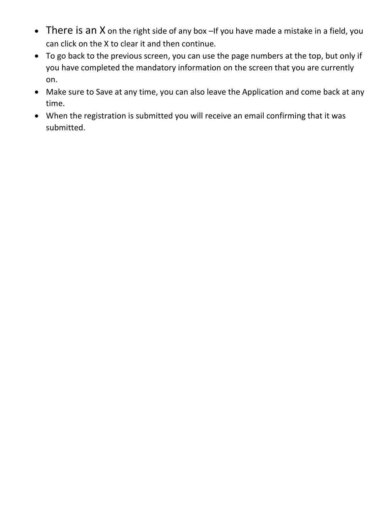- There is an X on the right side of any box If you have made a mistake in a field, you can click on the X to clear it and then continue.
- To go back to the previous screen, you can use the page numbers at the top, but only if you have completed the mandatory information on the screen that you are currently on.
- Make sure to Save at any time, you can also leave the Application and come back at any time.
- When the registration is submitted you will receive an email confirming that it was submitted.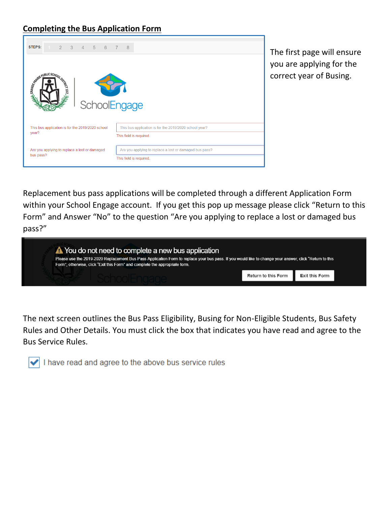### **Completing the Bus Application Form**



The first page will ensure you are applying for the correct year of Busing.

Replacement bus pass applications will be completed through a different Application Form within your School Engage account. If you get this pop up message please click "Return to this Form" and Answer "No" to the question "Are you applying to replace a lost or damaged bus pass?"



The next screen outlines the Bus Pass Eligibility, Busing for Non-Eligible Students, Bus Safety Rules and Other Details. You must click the box that indicates you have read and agree to the Bus Service Rules.

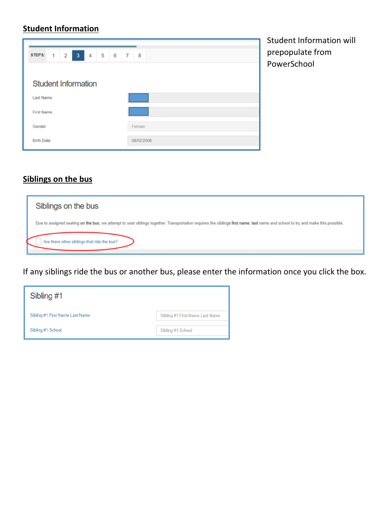# **Student Information**

|                                                                         | Sti |
|-------------------------------------------------------------------------|-----|
| 5<br>STEPS:<br>6<br>$-7$<br>3<br>4<br>8<br>$\overline{\mathbf{2}}$<br>1 | pr  |
|                                                                         | Po  |
| <b>Student Information</b>                                              |     |
| Last Name                                                               |     |
| <b>First Name</b>                                                       |     |
| Gender<br>Female                                                        |     |
| 08/02/2006<br><b>Birth Date</b>                                         |     |

udent Information will epopulate from werSchool

## **Siblings on the bus**

| Siblings on the bus                                                                                                                                                            |
|--------------------------------------------------------------------------------------------------------------------------------------------------------------------------------|
| Due to assigned seating on the bus, we attempt to seat siblings together. Transportation requires the siblings first name, last name and school to try and make this possible. |
| Are there other siblings that ride the bus?                                                                                                                                    |

If any siblings ride the bus or another bus, please enter the information once you click the box.

| Sibling #1                      |                                 |
|---------------------------------|---------------------------------|
| Sibling #1 First Name Last Name | Sibling #1 First Name Last Name |
| Sibling #1 School               | Sibling #1 School               |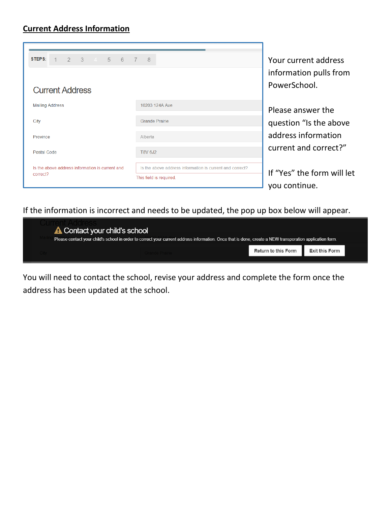### **Current Address Information**

| 2 3 4 5 6<br>STEPS:<br>$\overline{1}$<br><b>Current Address</b> | - 8<br>$7\phantom{0}$                                                               | Your current address<br>information pulls from<br>PowerSchool. |
|-----------------------------------------------------------------|-------------------------------------------------------------------------------------|----------------------------------------------------------------|
| <b>Mailing Address</b>                                          | 10203 124A Ave                                                                      | Please answer the                                              |
| City                                                            | <b>Grande Prairie</b>                                                               | question "Is the above"                                        |
| Province                                                        | Alberta                                                                             | address information                                            |
| Postal Code                                                     | T8V 6J2                                                                             | current and correct?"                                          |
| Is the above address information is current and<br>correct?     | Is the above address information is current and correct?<br>This field is required. | If "Yes" the form will let<br>vou continue.                    |

If the information is incorrect and needs to be updated, the pop up box below will appear.

| <b>A</b> Contact your child's school |                                                                                                                                                          |                     |                       |  |
|--------------------------------------|----------------------------------------------------------------------------------------------------------------------------------------------------------|---------------------|-----------------------|--|
|                                      | Please contact your child's school in order to correct your current address information. Once that is done, create a NEW transporation application form. |                     |                       |  |
|                                      |                                                                                                                                                          | Return to this Form | <b>Exit this Form</b> |  |

You will need to contact the school, revise your address and complete the form once the address has been updated at the school.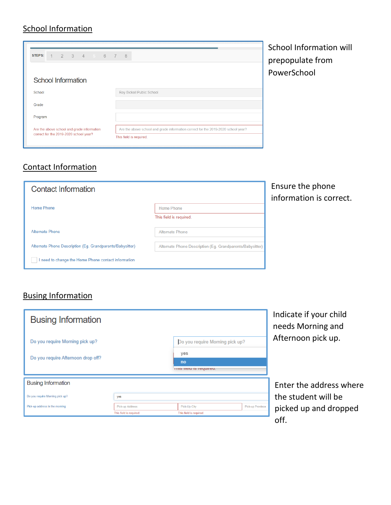## **School Information**

|                                            |                 |  |  |  |                                                                                   | Sι |
|--------------------------------------------|-----------------|--|--|--|-----------------------------------------------------------------------------------|----|
| STEPS:                                     | 1 2 3 4 5 6 7 8 |  |  |  |                                                                                   |    |
|                                            |                 |  |  |  |                                                                                   | р  |
|                                            |                 |  |  |  |                                                                                   | P  |
| <b>School Information</b>                  |                 |  |  |  |                                                                                   |    |
| School                                     |                 |  |  |  | Roy Bickell Public School                                                         |    |
| Grade                                      |                 |  |  |  |                                                                                   |    |
| Program                                    |                 |  |  |  |                                                                                   |    |
| Are the above school and grade information |                 |  |  |  | Are the above school and grade information correct for the 2019-2020 school year? |    |
|                                            |                 |  |  |  | This field is required.                                                           |    |
| correct for the 2019-2020 school year?     |                 |  |  |  |                                                                                   |    |

chool Information will prepopulate from owerSchool

# Contact Information

| <b>Contact Information</b>                                |                                                           | En<br>ını |
|-----------------------------------------------------------|-----------------------------------------------------------|-----------|
| Home Phone                                                | <b>Home Phone</b>                                         |           |
|                                                           | This field is required.                                   |           |
| <b>Alternate Phone</b>                                    | <b>Alternate Phone</b>                                    |           |
| Alternate Phone Description (Eq. Grandparents/Babysitter) | Alternate Phone Description (Eg. Grandparents/Babysitter) |           |
| I need to change the Home Phone contact information       |                                                           |           |

## nsure the phone formation is correct.

# Busing Information

| <b>Busing Information</b>          |                                            |  |                                         |                         | Indicate if your child<br>needs Morning and |
|------------------------------------|--------------------------------------------|--|-----------------------------------------|-------------------------|---------------------------------------------|
| Do you require Morning pick up?    |                                            |  | Do you require Morning pick up?         |                         | Afternoon pick up.                          |
| Do you require Afternoon drop off? |                                            |  | yes<br>no<br>THIS field is required.    |                         |                                             |
| <b>Busing Information</b>          |                                            |  |                                         |                         | Enter the address w                         |
| Do you require Morning pick up?    | yes                                        |  |                                         |                         | the student will be                         |
| Pick-up address in the morning     | Pick-up Address<br>This field is required. |  | Pick-Up City<br>This field is required. | <b>Pick-up Province</b> | picked up and dropp<br><b>cc</b>            |

ss where be Iropped off.